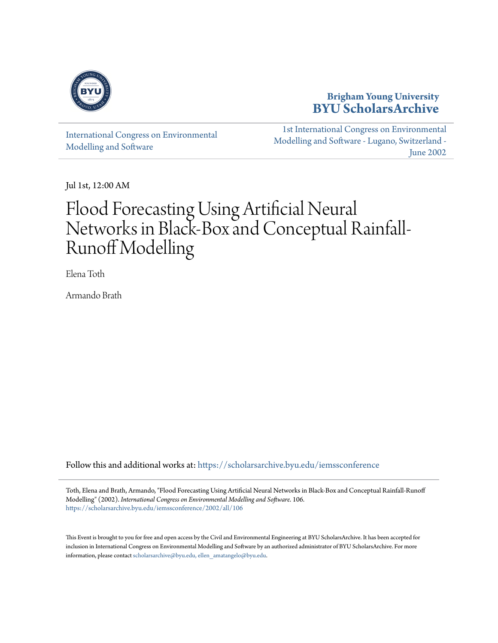

# **Brigham Young University [BYU ScholarsArchive](https://scholarsarchive.byu.edu?utm_source=scholarsarchive.byu.edu%2Fiemssconference%2F2002%2Fall%2F106&utm_medium=PDF&utm_campaign=PDFCoverPages)**

[International Congress on Environmental](https://scholarsarchive.byu.edu/iemssconference?utm_source=scholarsarchive.byu.edu%2Fiemssconference%2F2002%2Fall%2F106&utm_medium=PDF&utm_campaign=PDFCoverPages) [Modelling and Software](https://scholarsarchive.byu.edu/iemssconference?utm_source=scholarsarchive.byu.edu%2Fiemssconference%2F2002%2Fall%2F106&utm_medium=PDF&utm_campaign=PDFCoverPages)

[1st International Congress on Environmental](https://scholarsarchive.byu.edu/iemssconference/2002?utm_source=scholarsarchive.byu.edu%2Fiemssconference%2F2002%2Fall%2F106&utm_medium=PDF&utm_campaign=PDFCoverPages) [Modelling and Software - Lugano, Switzerland -](https://scholarsarchive.byu.edu/iemssconference/2002?utm_source=scholarsarchive.byu.edu%2Fiemssconference%2F2002%2Fall%2F106&utm_medium=PDF&utm_campaign=PDFCoverPages) [June 2002](https://scholarsarchive.byu.edu/iemssconference/2002?utm_source=scholarsarchive.byu.edu%2Fiemssconference%2F2002%2Fall%2F106&utm_medium=PDF&utm_campaign=PDFCoverPages)

Jul 1st, 12:00 AM

# Flood Forecasting Using Artificial Neural Networks in Black-Box and Conceptual Rainfall-Runoff Modelling

Elena Toth

Armando Brath

Follow this and additional works at: [https://scholarsarchive.byu.edu/iemssconference](https://scholarsarchive.byu.edu/iemssconference?utm_source=scholarsarchive.byu.edu%2Fiemssconference%2F2002%2Fall%2F106&utm_medium=PDF&utm_campaign=PDFCoverPages)

Toth, Elena and Brath, Armando, "Flood Forecasting Using Artificial Neural Networks in Black-Box and Conceptual Rainfall-Runoff Modelling" (2002). *International Congress on Environmental Modelling and Software*. 106. [https://scholarsarchive.byu.edu/iemssconference/2002/all/106](https://scholarsarchive.byu.edu/iemssconference/2002/all/106?utm_source=scholarsarchive.byu.edu%2Fiemssconference%2F2002%2Fall%2F106&utm_medium=PDF&utm_campaign=PDFCoverPages)

This Event is brought to you for free and open access by the Civil and Environmental Engineering at BYU ScholarsArchive. It has been accepted for inclusion in International Congress on Environmental Modelling and Software by an authorized administrator of BYU ScholarsArchive. For more information, please contact [scholarsarchive@byu.edu, ellen\\_amatangelo@byu.edu](mailto:scholarsarchive@byu.edu,%20ellen_amatangelo@byu.edu).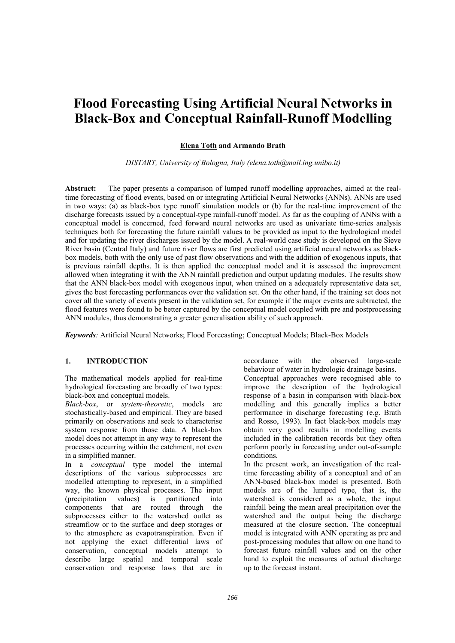# **Flood Forecasting Using Artificial Neural Networks in Black-Box and Conceptual Rainfall-Runoff Modelling**

# **Elena Toth and Armando Brath**

*DISTART, University of Bologna, Italy (elena.toth@mail.ing.unibo.it)* 

**Abstract:** The paper presents a comparison of lumped runoff modelling approaches, aimed at the realtime forecasting of flood events, based on or integrating Artificial Neural Networks (ANNs). ANNs are used in two ways: (a) as black-box type runoff simulation models or (b) for the real-time improvement of the discharge forecasts issued by a conceptual-type rainfall-runoff model. As far as the coupling of ANNs with a conceptual model is concerned, feed forward neural networks are used as univariate time-series analysis techniques both for forecasting the future rainfall values to be provided as input to the hydrological model and for updating the river discharges issued by the model. A real-world case study is developed on the Sieve River basin (Central Italy) and future river flows are first predicted using artificial neural networks as blackbox models, both with the only use of past flow observations and with the addition of exogenous inputs, that is previous rainfall depths. It is then applied the conceptual model and it is assessed the improvement allowed when integrating it with the ANN rainfall prediction and output updating modules. The results show that the ANN black-box model with exogenous input, when trained on a adequately representative data set, gives the best forecasting performances over the validation set. On the other hand, if the training set does not cover all the variety of events present in the validation set, for example if the major events are subtracted, the flood features were found to be better captured by the conceptual model coupled with pre and postprocessing ANN modules, thus demonstrating a greater generalisation ability of such approach.

*Keywords:* Artificial Neural Networks; Flood Forecasting; Conceptual Models; Black-Box Models

# **1. INTRODUCTION**

The mathematical models applied for real-time hydrological forecasting are broadly of two types: black-box and conceptual models.

*Black-box*, or *system-theoretic*, models are stochastically-based and empirical. They are based primarily on observations and seek to characterise system response from those data. A black-box model does not attempt in any way to represent the processes occurring within the catchment, not even in a simplified manner.

In a *conceptual* type model the internal descriptions of the various subprocesses are modelled attempting to represent, in a simplified way, the known physical processes. The input (precipitation values) is partitioned into components that are routed through the subprocesses either to the watershed outlet as streamflow or to the surface and deep storages or to the atmosphere as evapotranspiration. Even if not applying the exact differential laws of conservation, conceptual models attempt to describe large spatial and temporal scale conservation and response laws that are in

accordance with the observed large-scale behaviour of water in hydrologic drainage basins. Conceptual approaches were recognised able to improve the description of the hydrological response of a basin in comparison with black-box modelling and this generally implies a better performance in discharge forecasting (e.g. Brath and Rosso, 1993). In fact black-box models may obtain very good results in modelling events included in the calibration records but they often perform poorly in forecasting under out-of-sample conditions.

In the present work, an investigation of the realtime forecasting ability of a conceptual and of an ANN-based black-box model is presented. Both models are of the lumped type, that is, the watershed is considered as a whole, the input rainfall being the mean areal precipitation over the watershed and the output being the discharge measured at the closure section. The conceptual model is integrated with ANN operating as pre and post-processing modules that allow on one hand to forecast future rainfall values and on the other hand to exploit the measures of actual discharge up to the forecast instant.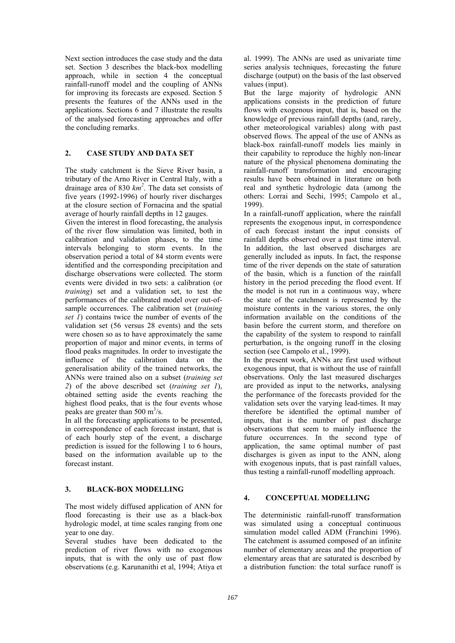Next section introduces the case study and the data set. Section 3 describes the black-box modelling approach, while in section 4 the conceptual rainfall-runoff model and the coupling of ANNs for improving its forecasts are exposed. Section 5 presents the features of the ANNs used in the applications. Sections 6 and 7 illustrate the results of the analysed forecasting approaches and offer the concluding remarks.

# **2. CASE STUDY AND DATA SET**

The study catchment is the Sieve River basin, a tributary of the Arno River in Central Italy, with a drainage area of 830 *km<sup>2</sup>* . The data set consists of five years (1992-1996) of hourly river discharges at the closure section of Fornacina and the spatial average of hourly rainfall depths in 12 gauges.

Given the interest in flood forecasting, the analysis of the river flow simulation was limited, both in calibration and validation phases, to the time intervals belonging to storm events. In the observation period a total of 84 storm events were identified and the corresponding precipitation and discharge observations were collected. The storm events were divided in two sets: a calibration (or *training*) set and a validation set, to test the performances of the calibrated model over out-ofsample occurrences. The calibration set (*training set 1*) contains twice the number of events of the validation set (56 versus 28 events) and the sets were chosen so as to have approximately the same proportion of major and minor events, in terms of flood peaks magnitudes. In order to investigate the influence of the calibration data on the generalisation ability of the trained networks, the ANNs were trained also on a subset (*training set 2*) of the above described set (*training set 1*), obtained setting aside the events reaching the highest flood peaks, that is the four events whose peaks are greater than 500  $\text{m}^3\text{/s}$ .

In all the forecasting applications to be presented, in correspondence of each forecast instant, that is of each hourly step of the event, a discharge prediction is issued for the following 1 to 6 hours, based on the information available up to the forecast instant.

# **3. BLACK-BOX MODELLING**

The most widely diffused application of ANN for flood forecasting is their use as a black-box hydrologic model, at time scales ranging from one year to one day.

Several studies have been dedicated to the prediction of river flows with no exogenous inputs, that is with the only use of past flow observations (e.g. Karunanithi et al, 1994; Atiya et

al. 1999). The ANNs are used as univariate time series analysis techniques, forecasting the future discharge (output) on the basis of the last observed values (input).

But the large majority of hydrologic ANN applications consists in the prediction of future flows with exogenous input, that is, based on the knowledge of previous rainfall depths (and, rarely, other meteorological variables) along with past observed flows. The appeal of the use of ANNs as black-box rainfall-runoff models lies mainly in their capability to reproduce the highly non-linear nature of the physical phenomena dominating the rainfall-runoff transformation and encouraging results have been obtained in literature on both real and synthetic hydrologic data (among the others: Lorrai and Sechi, 1995; Campolo et al., 1999).

In a rainfall-runoff application, where the rainfall represents the exogenous input, in correspondence of each forecast instant the input consists of rainfall depths observed over a past time interval. In addition, the last observed discharges are generally included as inputs. In fact, the response time of the river depends on the state of saturation of the basin, which is a function of the rainfall history in the period preceding the flood event. If the model is not run in a continuous way, where the state of the catchment is represented by the moisture contents in the various stores, the only information available on the conditions of the basin before the current storm, and therefore on the capability of the system to respond to rainfall perturbation, is the ongoing runoff in the closing section (see Campolo et al., 1999).

In the present work, ANNs are first used without exogenous input, that is without the use of rainfall observations. Only the last measured discharges are provided as input to the networks, analysing the performance of the forecasts provided for the validation sets over the varying lead-times. It may therefore be identified the optimal number of inputs, that is the number of past discharge observations that seem to mainly influence the future occurrences. In the second type of application, the same optimal number of past discharges is given as input to the ANN, along with exogenous inputs, that is past rainfall values, thus testing a rainfall-runoff modelling approach.

# **4. CONCEPTUAL MODELLING**

The deterministic rainfall-runoff transformation was simulated using a conceptual continuous simulation model called ADM (Franchini 1996). The catchment is assumed composed of an infinite number of elementary areas and the proportion of elementary areas that are saturated is described by a distribution function: the total surface runoff is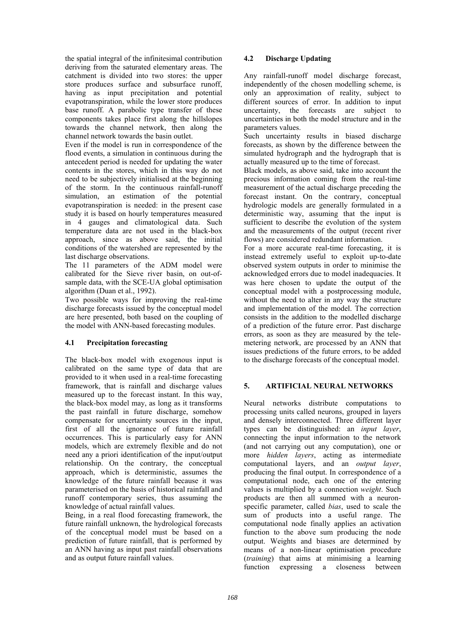the spatial integral of the infinitesimal contribution deriving from the saturated elementary areas. The catchment is divided into two stores: the upper store produces surface and subsurface runoff, having as input precipitation and potential evapotranspiration, while the lower store produces base runoff. A parabolic type transfer of these components takes place first along the hillslopes towards the channel network, then along the channel network towards the basin outlet.

Even if the model is run in correspondence of the flood events, a simulation in continuous during the antecedent period is needed for updating the water contents in the stores, which in this way do not need to be subjectively initialised at the beginning of the storm. In the continuous rainfall-runoff simulation, an estimation of the potential evapotranspiration is needed: in the present case study it is based on hourly temperatures measured in 4 gauges and climatological data. Such temperature data are not used in the black-box approach, since as above said, the initial conditions of the watershed are represented by the last discharge observations.

The 11 parameters of the ADM model were calibrated for the Sieve river basin, on out-ofsample data, with the SCE-UA global optimisation algorithm (Duan et al., 1992).

Two possible ways for improving the real-time discharge forecasts issued by the conceptual model are here presented, both based on the coupling of the model with ANN-based forecasting modules.

# **4.1 Precipitation forecasting**

The black-box model with exogenous input is calibrated on the same type of data that are provided to it when used in a real-time forecasting framework, that is rainfall and discharge values measured up to the forecast instant. In this way, the black-box model may, as long as it transforms the past rainfall in future discharge, somehow compensate for uncertainty sources in the input, first of all the ignorance of future rainfall occurrences. This is particularly easy for ANN models, which are extremely flexible and do not need any a priori identification of the input/output relationship. On the contrary, the conceptual approach, which is deterministic, assumes the knowledge of the future rainfall because it was parameterised on the basis of historical rainfall and runoff contemporary series, thus assuming the knowledge of actual rainfall values.

Being, in a real flood forecasting framework, the future rainfall unknown, the hydrological forecasts of the conceptual model must be based on a prediction of future rainfall, that is performed by an ANN having as input past rainfall observations and as output future rainfall values.

# **4.2 Discharge Updating**

Any rainfall-runoff model discharge forecast, independently of the chosen modelling scheme, is only an approximation of reality, subject to different sources of error. In addition to input uncertainty, the forecasts are subject to uncertainties in both the model structure and in the parameters values.

Such uncertainty results in biased discharge forecasts, as shown by the difference between the simulated hydrograph and the hydrograph that is actually measured up to the time of forecast.

Black models, as above said, take into account the precious information coming from the real-time measurement of the actual discharge preceding the forecast instant. On the contrary, conceptual hydrologic models are generally formulated in a deterministic way, assuming that the input is sufficient to describe the evolution of the system and the measurements of the output (recent river flows) are considered redundant information.

For a more accurate real-time forecasting, it is instead extremely useful to exploit up-to-date observed system outputs in order to minimise the acknowledged errors due to model inadequacies. It was here chosen to update the output of the conceptual model with a postprocessing module, without the need to alter in any way the structure and implementation of the model. The correction consists in the addition to the modelled discharge of a prediction of the future error. Past discharge errors, as soon as they are measured by the telemetering network, are processed by an ANN that issues predictions of the future errors, to be added to the discharge forecasts of the conceptual model.

# **5. ARTIFICIAL NEURAL NETWORKS**

Neural networks distribute computations to processing units called neurons, grouped in layers and densely interconnected. Three different layer types can be distinguished: an *input layer*, connecting the input information to the network (and not carrying out any computation), one or more *hidden layers*, acting as intermediate computational layers, and an *output layer*, producing the final output. In correspondence of a computational node, each one of the entering values is multiplied by a connection *weight*. Such products are then all summed with a neuronspecific parameter, called *bias*, used to scale the sum of products into a useful range. The computational node finally applies an activation function to the above sum producing the node output. Weights and biases are determined by means of a non-linear optimisation procedure (*training*) that aims at minimising a learning function expressing a closeness between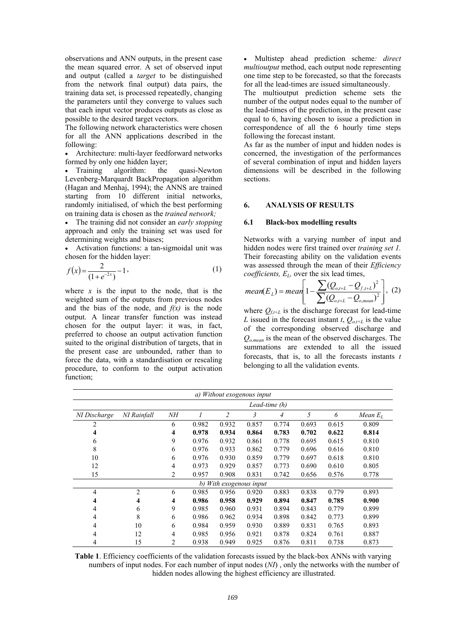observations and ANN outputs, in the present case the mean squared error. A set of observed input and output (called a *target* to be distinguished from the network final output) data pairs, the training data set, is processed repeatedly, changing the parameters until they converge to values such that each input vector produces outputs as close as possible to the desired target vectors.

The following network characteristics were chosen for all the ANN applications described in the following:

• Architecture: multi-layer feedforward networks formed by only one hidden layer;<br>Training algorithm: the

algorithm: the quasi-Newton Levenberg-Marquardt BackPropagation algorithm (Hagan and Menhaj, 1994); the ANNS are trained starting from 10 different initial networks, randomly initialised, of which the best performing on training data is chosen as the *trained network;*

• The training did not consider an *early stopping* approach and only the training set was used for determining weights and biases;

• Activation functions: a tan-sigmoidal unit was chosen for the hidden layer:

$$
f(x) = \frac{2}{(1 + e^{-2x})} - 1,
$$
 (1)

where  $x$  is the input to the node, that is the weighted sum of the outputs from previous nodes and the bias of the node, and  $f(x)$  is the node output. A linear transfer function was instead chosen for the output layer: it was, in fact, preferred to choose an output activation function suited to the original distribution of targets, that in the present case are unbounded, rather than to force the data, with a standardisation or rescaling procedure, to conform to the output activation function;

• Multistep ahead prediction scheme*: direct multioutput* method, each output node representing one time step to be forecasted, so that the forecasts for all the lead-times are issued simultaneously.

The multioutput prediction scheme sets the number of the output nodes equal to the number of the lead-times of the prediction, in the present case equal to 6, having chosen to issue a prediction in correspondence of all the 6 hourly time steps following the forecast instant.

As far as the number of input and hidden nodes is concerned, the investigation of the performances of several combination of input and hidden layers dimensions will be described in the following sections.

# **6. ANALYSIS OF RESULTS**

#### **6.1 Black-box modelling results**

Networks with a varying number of input and hidden nodes were first trained over *training set 1.* Their forecasting ability on the validation events was assessed through the mean of their *Efficiency coefficients, E<sub>L</sub>*, over the six lead times,

mean(
$$
E_L
$$
) = mean $\left[1 - \frac{\sum (Q_{o,t+L} - Q_{f,t+L})^2}{\sum (Q_{o,t+L} - Q_{o,mean})^2}\right]$ , (2)

where  $Q_{f,t+L}$  is the discharge forecast for lead-time *L* issued in the forecast instant *t*,  $Q_{o,t+L}$  is the value of the corresponding observed discharge and *Qo,mean* is the mean of the observed discharges. The summations are extended to all the issued forecasts, that is, to all the forecasts instants *t* belonging to all the validation events.

| a) Without exogenous input |                |                |       |       |       |       |       |       |            |  |
|----------------------------|----------------|----------------|-------|-------|-------|-------|-------|-------|------------|--|
|                            | Lead-time (h)  |                |       |       |       |       |       |       |            |  |
| NI Discharge               | NI Rainfall    | NΗ             |       | 2     | 3     | 4     | 5     | 6     | Mean $E_L$ |  |
| 2                          |                | 6              | 0.982 | 0.932 | 0.857 | 0.774 | 0.693 | 0.615 | 0.809      |  |
| 4                          |                | 4              | 0.978 | 0.934 | 0.864 | 0.783 | 0.702 | 0.622 | 0.814      |  |
| 6                          |                | 9              | 0.976 | 0.932 | 0.861 | 0.778 | 0.695 | 0.615 | 0.810      |  |
| 8                          |                | 6              | 0.976 | 0.933 | 0.862 | 0.779 | 0.696 | 0.616 | 0.810      |  |
| 10                         |                | 6              | 0.976 | 0.930 | 0.859 | 0.779 | 0.697 | 0.618 | 0.810      |  |
| 12                         |                | 4              | 0.973 | 0.929 | 0.857 | 0.773 | 0.690 | 0.610 | 0.805      |  |
| 15                         |                | $\overline{c}$ | 0.957 | 0.908 | 0.831 | 0.742 | 0.656 | 0.576 | 0.778      |  |
| b) With exogenous input    |                |                |       |       |       |       |       |       |            |  |
| 4                          | $\overline{2}$ | 6              | 0.985 | 0.956 | 0.920 | 0.883 | 0.838 | 0.779 | 0.893      |  |
| 4                          | 4              | 4              | 0.986 | 0.958 | 0.929 | 0.894 | 0.847 | 0.785 | 0.900      |  |
| 4                          | 6              | 9              | 0.985 | 0.960 | 0.931 | 0.894 | 0.843 | 0.779 | 0.899      |  |
| 4                          | 8              | 6              | 0.986 | 0.962 | 0.934 | 0.898 | 0.842 | 0.773 | 0.899      |  |
| 4                          | 10             | 6              | 0.984 | 0.959 | 0.930 | 0.889 | 0.831 | 0.765 | 0.893      |  |
| 4                          | 12             | 4              | 0.985 | 0.956 | 0.921 | 0.878 | 0.824 | 0.761 | 0.887      |  |
| 4                          | 15             | $\mathfrak{D}$ | 0.938 | 0.949 | 0.925 | 0.876 | 0.811 | 0.738 | 0.873      |  |

**Table 1**. Efficiency coefficients of the validation forecasts issued by the black-box ANNs with varying numbers of input nodes. For each number of input nodes (*NI*) , only the networks with the number of hidden nodes allowing the highest efficiency are illustrated.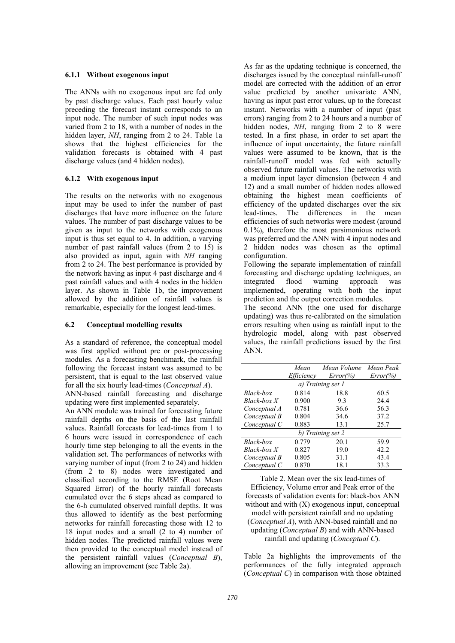#### **6.1.1 Without exogenous input**

The ANNs with no exogenous input are fed only by past discharge values. Each past hourly value preceding the forecast instant corresponds to an input node. The number of such input nodes was varied from 2 to 18, with a number of nodes in the hidden layer, *NH*, ranging from 2 to 24. Table 1a shows that the highest efficiencies for the validation forecasts is obtained with 4 past discharge values (and 4 hidden nodes).

#### **6.1.2 With exogenous input**

The results on the networks with no exogenous input may be used to infer the number of past discharges that have more influence on the future values. The number of past discharge values to be given as input to the networks with exogenous input is thus set equal to 4. In addition, a varying number of past rainfall values (from 2 to 15) is also provided as input, again with *NH* ranging from 2 to 24. The best performance is provided by the network having as input 4 past discharge and 4 past rainfall values and with 4 nodes in the hidden layer. As shown in Table 1b, the improvement allowed by the addition of rainfall values is remarkable, especially for the longest lead-times.

### **6.2 Conceptual modelling results**

As a standard of reference, the conceptual model was first applied without pre or post-processing modules. As a forecasting benchmark, the rainfall following the forecast instant was assumed to be persistent, that is equal to the last observed value for all the six hourly lead-times (*Conceptual A*).

ANN-based rainfall forecasting and discharge updating were first implemented separately.

An ANN module was trained for forecasting future rainfall depths on the basis of the last rainfall values. Rainfall forecasts for lead-times from 1 to 6 hours were issued in correspondence of each hourly time step belonging to all the events in the validation set. The performances of networks with varying number of input (from 2 to 24) and hidden (from 2 to 8) nodes were investigated and classified according to the RMSE (Root Mean Squared Error) of the hourly rainfall forecasts cumulated over the 6 steps ahead as compared to the 6-h cumulated observed rainfall depths. It was thus allowed to identify as the best performing networks for rainfall forecasting those with 12 to 18 input nodes and a small (2 to 4) number of hidden nodes. The predicted rainfall values were then provided to the conceptual model instead of the persistent rainfall values (*Conceptual B*), allowing an improvement (see Table 2a).

As far as the updating technique is concerned, the discharges issued by the conceptual rainfall-runoff model are corrected with the addition of an error value predicted by another univariate ANN, having as input past error values, up to the forecast instant. Networks with a number of input (past errors) ranging from 2 to 24 hours and a number of hidden nodes, *NH*, ranging from 2 to 8 were tested. In a first phase, in order to set apart the influence of input uncertainty, the future rainfall values were assumed to be known, that is the rainfall-runoff model was fed with actually observed future rainfall values. The networks with a medium input layer dimension (between 4 and 12) and a small number of hidden nodes allowed obtaining the highest mean coefficients of efficiency of the updated discharges over the six lead-times. The differences in the mean efficiencies of such networks were modest (around 0.1%), therefore the most parsimonious network was preferred and the ANN with 4 input nodes and 2 hidden nodes was chosen as the optimal configuration.

Following the separate implementation of rainfall forecasting and discharge updating techniques, an integrated flood warning approach was implemented, operating with both the input prediction and the output correction modules.

The second ANN (the one used for discharge updating) was thus re-calibrated on the simulation errors resulting when using as rainfall input to the hydrologic model, along with past observed values, the rainfall predictions issued by the first ANN.

|                   | Mean       | Mean Volume  | Mean Peak    |  |  |  |  |  |  |
|-------------------|------------|--------------|--------------|--|--|--|--|--|--|
|                   | Efficiency | $Error(\% )$ | $Error(\% )$ |  |  |  |  |  |  |
| a) Training set 1 |            |              |              |  |  |  |  |  |  |
| Black-box         | 0.814      | 18.8         | 60.5         |  |  |  |  |  |  |
| $Black-box X$     | 0.900      | 9.3          | 24.4         |  |  |  |  |  |  |
| Conceptual A      | 0.781      | 36.6         | 56.3         |  |  |  |  |  |  |
| Conceptual B      | 0.804      | 34.6         | 37.2         |  |  |  |  |  |  |
| Conceptual C      | 0.883      | 13.1         | 25.7         |  |  |  |  |  |  |
| b) Training set 2 |            |              |              |  |  |  |  |  |  |
| Black-box         | 0.779      | 20.1         | 59.9         |  |  |  |  |  |  |
| $Black-box X$     | 0.827      | 19.0         | 42.2         |  |  |  |  |  |  |
| Conceptual B      | 0.805      | 31.1         | 43.4         |  |  |  |  |  |  |
| Conceptual C      | 0.870      | 18.1         | 33.3         |  |  |  |  |  |  |

Table 2. Mean over the six lead-times of Efficiency, Volume error and Peak error of the forecasts of validation events for: black-box ANN without and with  $(X)$  exogenous input, conceptual model with persistent rainfall and no updating (*Conceptual A*), with ANN-based rainfall and no updating (*Conceptual B*) and with ANN-based rainfall and updating (*Conceptual C*).

Table 2a highlights the improvements of the performances of the fully integrated approach (*Conceptual C*) in comparison with those obtained